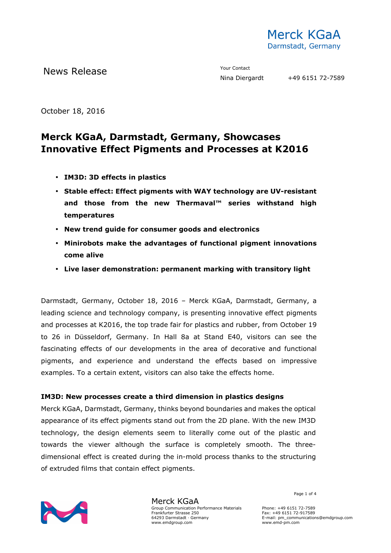

October 18, 2016

# **Merck KGaA, Darmstadt, Germany, Showcases Innovative Effect Pigments and Processes at K2016**

- **IM3D: 3D effects in plastics**
- **Stable effect: Effect pigments with WAY technology are UV-resistant and those from the new Thermaval™ series withstand high temperatures**
- **New trend guide for consumer goods and electronics**
- **Minirobots make the advantages of functional pigment innovations come alive**
- **Live laser demonstration: permanent marking with transitory light**

Darmstadt, Germany, October 18, 2016 – Merck KGaA, Darmstadt, Germany, a leading science and technology company, is presenting innovative effect pigments and processes at K2016, the top trade fair for plastics and rubber, from October 19 to 26 in Düsseldorf, Germany. In Hall 8a at Stand E40, visitors can see the fascinating effects of our developments in the area of decorative and functional pigments, and experience and understand the effects based on impressive examples. To a certain extent, visitors can also take the effects home.

### **IM3D: New processes create a third dimension in plastics designs**

Merck KGaA, Darmstadt, Germany, thinks beyond boundaries and makes the optical appearance of its effect pigments stand out from the 2D plane. With the new IM3D technology, the design elements seem to literally come out of the plastic and towards the viewer although the surface is completely smooth. The threedimensional effect is created during the in-mold process thanks to the structuring of extruded films that contain effect pigments.



Merck KGaA Group Communication Performance Materials Frankfurter Strasse 250 64293 Darmstadt · Germany www.emdgroup.com

Page 1 of 4

Phone: +49 6151 72-7589 Fax: +49 6151 72-917589 E-mail: pm\_communications@emdgroup.com www.emd-pm.com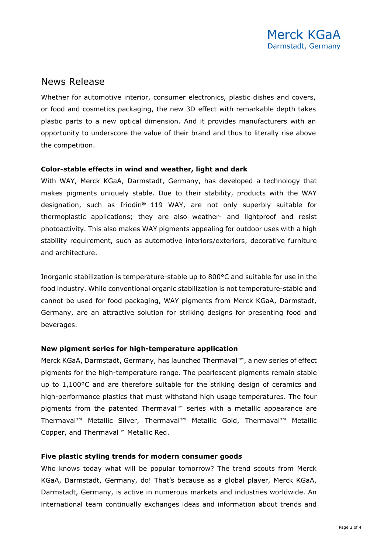### News Release

Whether for automotive interior, consumer electronics, plastic dishes and covers, or food and cosmetics packaging, the new 3D effect with remarkable depth takes plastic parts to a new optical dimension. And it provides manufacturers with an opportunity to underscore the value of their brand and thus to literally rise above the competition.

#### **Color-stable effects in wind and weather, light and dark**

With WAY, Merck KGaA, Darmstadt, Germany, has developed a technology that makes pigments uniquely stable. Due to their stability, products with the WAY designation, such as Iriodin**®** 119 WAY, are not only superbly suitable for thermoplastic applications; they are also weather- and lightproof and resist photoactivity. This also makes WAY pigments appealing for outdoor uses with a high stability requirement, such as automotive interiors/exteriors, decorative furniture and architecture.

Inorganic stabilization is temperature-stable up to 800°C and suitable for use in the food industry. While conventional organic stabilization is not temperature-stable and cannot be used for food packaging, WAY pigments from Merck KGaA, Darmstadt, Germany, are an attractive solution for striking designs for presenting food and beverages.

#### **New pigment series for high-temperature application**

Merck KGaA, Darmstadt, Germany, has launched Thermaval™, a new series of effect pigments for the high-temperature range. The pearlescent pigments remain stable up to 1,100°C and are therefore suitable for the striking design of ceramics and high-performance plastics that must withstand high usage temperatures. The four pigments from the patented Thermaval<sup>™</sup> series with a metallic appearance are Thermaval™ Metallic Silver, Thermaval™ Metallic Gold, Thermaval™ Metallic Copper, and Thermaval™ Metallic Red.

#### **Five plastic styling trends for modern consumer goods**

Who knows today what will be popular tomorrow? The trend scouts from Merck KGaA, Darmstadt, Germany, do! That's because as a global player, Merck KGaA, Darmstadt, Germany, is active in numerous markets and industries worldwide. An international team continually exchanges ideas and information about trends and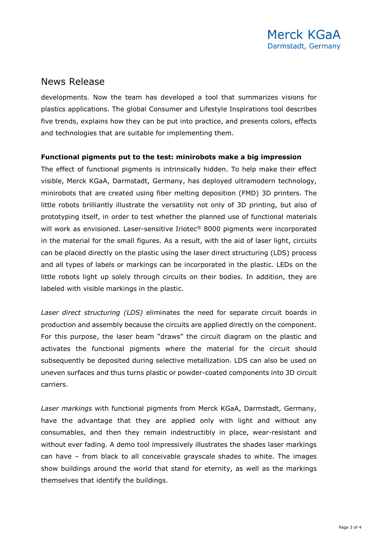## News Release

developments. Now the team has developed a tool that summarizes visions for plastics applications. The global Consumer and Lifestyle Inspirations tool describes five trends, explains how they can be put into practice, and presents colors, effects and technologies that are suitable for implementing them.

#### **Functional pigments put to the test: minirobots make a big impression**

The effect of functional pigments is intrinsically hidden. To help make their effect visible, Merck KGaA, Darmstadt, Germany, has deployed ultramodern technology, minirobots that are created using fiber melting deposition (FMD) 3D printers. The little robots brilliantly illustrate the versatility not only of 3D printing, but also of prototyping itself, in order to test whether the planned use of functional materials will work as envisioned. Laser-sensitive Iriotec® 8000 pigments were incorporated in the material for the small figures. As a result, with the aid of laser light, circuits can be placed directly on the plastic using the laser direct structuring (LDS) process and all types of labels or markings can be incorporated in the plastic. LEDs on the little robots light up solely through circuits on their bodies. In addition, they are labeled with visible markings in the plastic.

*Laser direct structuring (LDS)* eliminates the need for separate circuit boards in production and assembly because the circuits are applied directly on the component. For this purpose, the laser beam "draws" the circuit diagram on the plastic and activates the functional pigments where the material for the circuit should subsequently be deposited during selective metallization. LDS can also be used on uneven surfaces and thus turns plastic or powder-coated components into 3D circuit carriers.

*Laser markings* with functional pigments from Merck KGaA, Darmstadt, Germany, have the advantage that they are applied only with light and without any consumables, and then they remain indestructibly in place, wear-resistant and without ever fading. A demo tool impressively illustrates the shades laser markings can have – from black to all conceivable grayscale shades to white. The images show buildings around the world that stand for eternity, as well as the markings themselves that identify the buildings.